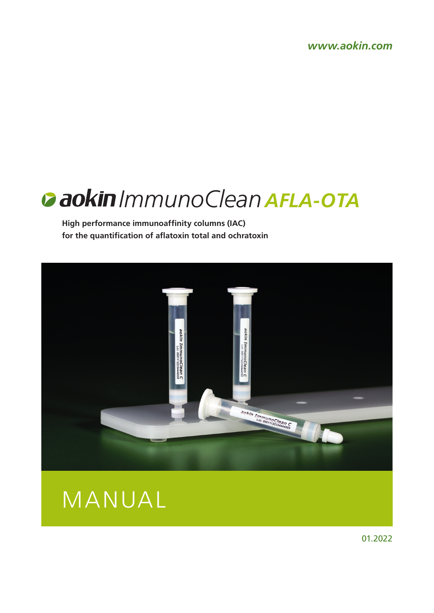*www.aokin.com*

# *ImmunoClean AFLA-OTA*

**High performance immunoaffinity columns (IAC) for the quantification of aflatoxin total and ochratoxin**





01.2022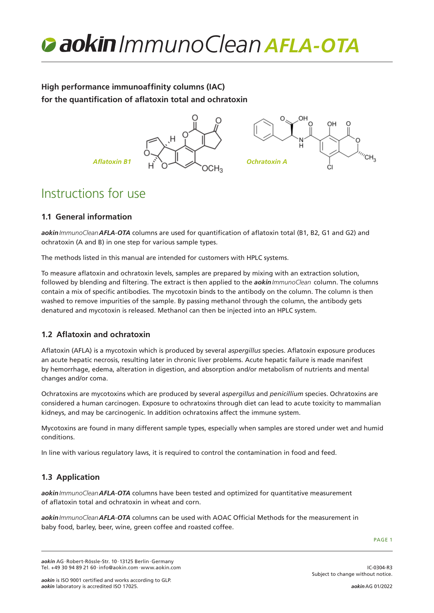

# **High performance immunoaffinity columns (IAC) for the quantification of aflatoxin total and ochratoxin**



# Instructions for use

# **1.1 General information**

*aokinImmunoCleanAFLA*-*OTA* columns are used for quantification of aflatoxin total (B1, B2, G1 and G2) and ochratoxin (A and B) in one step for various sample types.

The methods listed in this manual are intended for customers with HPLC systems.

To measure aflatoxin and ochratoxin levels, samples are prepared by mixing with an extraction solution, followed by blending and filtering. The extract is then applied to the *aokinImmunoClean* column. The columns contain a mix of specific antibodies. The mycotoxin binds to the antibody on the column. The column is then washed to remove impurities of the sample. By passing methanol through the column, the antibody gets denatured and mycotoxin is released. Methanol can then be injected into an HPLC system.

# **1.2 Aflatoxin and ochratoxin**

Aflatoxin (AFLA) is a mycotoxin which is produced by several *aspergillus* species. Aflatoxin exposure produces an acute hepatic necrosis, resulting later in chronic liver problems. Acute hepatic failure is made manifest by hemorrhage, edema, alteration in digestion, and absorption and/or metabolism of nutrients and mental changes and/or coma.

Ochratoxins are mycotoxins which are produced by several *aspergillus* and *penicillium* species. Ochratoxins are considered a human carcinogen. Exposure to ochratoxins through diet can lead to acute toxicity to mammalian kidneys, and may be carcinogenic. In addition ochratoxins affect the immune system.

Mycotoxins are found in many different sample types, especially when samples are stored under wet and humid conditions.

In line with various regulatory laws, it is required to control the contamination in food and feed.

# **1.3 Application**

*aokinImmunoCleanAFLA*-*OTA* columns have been tested and optimized for quantitative measurement of aflatoxin total and ochratoxin in wheat and corn.

*aokinImmunoCleanAFLA*-*OTA* columns can be used with AOAC Official Methods for the measurement in baby food, barley, beer, wine, green coffee and roasted coffee.

PAGE 1

*aokin* AG·Robert-Rössle-Str. 10·13125 Berlin·Germany Tel. +49 30 94 89 21 60·info@aokin.com·www.aokin.com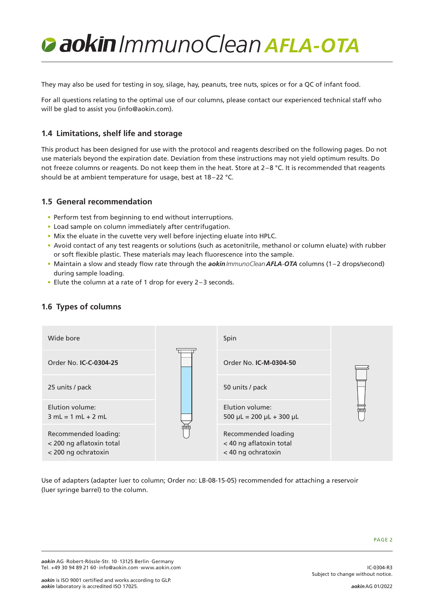They may also be used for testing in soy, silage, hay, peanuts, tree nuts, spices or for a QC of infant food.

For all questions relating to the optimal use of our columns, please contact our experienced technical staff who will be glad to assist you (info@aokin.com).

# **1.4 Limitations, shelf life and storage**

This product has been designed for use with the protocol and reagents described on the following pages. Do not use materials beyond the expiration date. Deviation from these instructions may not yield optimum results. Do not freeze columns or reagents. Do not keep them in the heat. Store at  $2-8$  °C. It is recommended that reagents should be at ambient temperature for usage, best at 18–22 °C.

### **1.5 General recommendation**

- Perform test from beginning to end without interruptions.
- Load sample on column immediately after centrifugation.
- Mix the eluate in the cuvette very well before injecting eluate into HPLC.
- Avoid contact of any test reagents or solutions (such as acetonitrile, methanol or column eluate) with rubber or soft flexible plastic. These materials may leach fluorescence into the sample.
- Maintain a slow and steady flow rate through the *aokinImmunoCleanAFLA*-*OTA* columns (1–2 drops/second) during sample loading.
- Elute the column at a rate of 1 drop for every 2–3 seconds.



## **1.6 Types of columns**

Use of adapters (adapter luer to column; Order no: LB-08-15-05) recommended for attaching a reservoir (luer syringe barrel) to the column.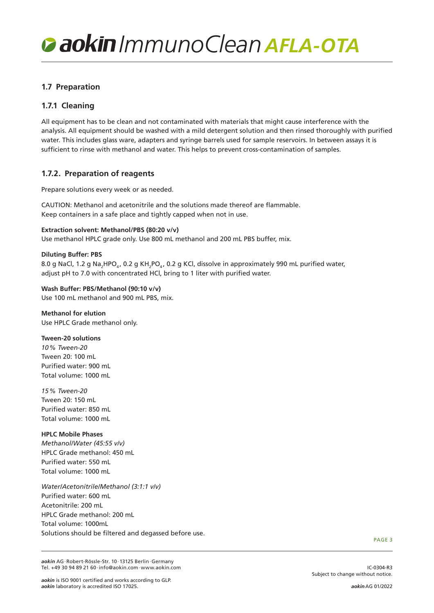# **1.7 Preparation**

# **1.7.1 Cleaning**

All equipment has to be clean and not contaminated with materials that might cause interference with the analysis. All equipment should be washed with a mild detergent solution and then rinsed thoroughly with purified water. This includes glass ware, adapters and syringe barrels used for sample reservoirs. In between assays it is sufficient to rinse with methanol and water. This helps to prevent cross-contamination of samples.

## **1.7.2. Preparation of reagents**

Prepare solutions every week or as needed.

CAUTION: Methanol and acetonitrile and the solutions made thereof are flammable. Keep containers in a safe place and tightly capped when not in use.

**Extraction solvent: Methanol/PBS (80:20 v/v)** Use methanol HPLC grade only. Use 800 mL methanol and 200 mL PBS buffer, mix.

#### **Diluting Buffer: PBS**

8.0 g NaCl, 1.2 g Na<sub>2</sub>HPO<sub>4</sub>, 0.2 g KH<sub>2</sub>PO<sub>4</sub>, 0.2 g KCl, dissolve in approximately 990 mL purified water, adjust pH to 7.0 with concentrated HCl, bring to 1 liter with purified water.

**Wash Buffer: PBS/Methanol (90:10 v/v)** Use 100 mL methanol and 900 mL PBS, mix.

**Methanol for elution** Use HPLC Grade methanol only.

**Tween-20 solutions** *10% Tween-20* Tween 20: 100 mL Purified water: 900 mL Total volume: 1000 mL

*15% Tween-20* Tween 20: 150 mL Purified water: 850 mL Total volume: 1000 mL

#### **HPLC Mobile Phases**

*Methanol/Water (45:55 v/v)* HPLC Grade methanol: 450 mL Purified water: 550 mL Total volume: 1000 mL

*Water/Acetonitrile/Methanol (3:1:1 v/v)* Purified water: 600 mL Acetonitrile: 200 mL HPLC Grade methanol: 200 mL Total volume: 1000mL Solutions should be filtered and degassed before use.

PAGE 3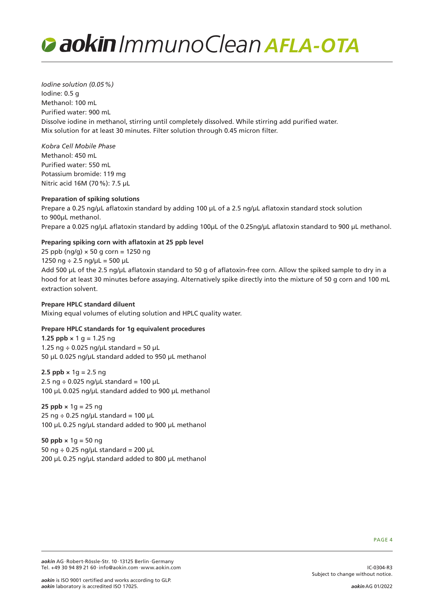

*Iodine solution (0.05%)* Iodine: 0.5 g Methanol: 100 mL Purified water: 900 mL Dissolve iodine in methanol, stirring until completely dissolved. While stirring add purified water. Mix solution for at least 30 minutes. Filter solution through 0.45 micron filter.

*Kobra Cell Mobile Phase* Methanol: 450 mL Purified water: 550 mL Potassium bromide: 119 mg Nitric acid 16M (70%): 7.5 µL

#### **Preparation of spiking solutions**

Prepare a 0.25 ng/µL aflatoxin standard by adding 100 µL of a 2.5 ng/µL aflatoxin standard stock solution to 900µL methanol. Prepare a 0.025 ng/µL aflatoxin standard by adding 100µL of the 0.25ng/µL aflatoxin standard to 900 µL methanol.

#### **Preparing spiking corn with aflatoxin at 25 ppb level**

25 ppb ( $nq/q$ )  $\times$  50 g corn = 1250 ng 1250 ng  $\div$  2.5 ng/uL = 500 µL

Add 500 µL of the 2.5 ng/µL aflatoxin standard to 50 g of aflatoxin-free corn. Allow the spiked sample to dry in a hood for at least 30 minutes before assaying. Alternatively spike directly into the mixture of 50 g corn and 100 mL extraction solvent.

#### **Prepare HPLC standard diluent**

Mixing equal volumes of eluting solution and HPLC quality water.

#### **Prepare HPLC standards for 1g equivalent procedures**

**1.25 ppb**  $\times$  1 g = 1.25 ng 1.25 ng  $\div$  0.025 ng/uL standard = 50 uL 50 µL 0.025 ng/µL standard added to 950 µL methanol

**2.5 ppb**  $\times$  1g = 2.5 ng 2.5 ng  $\div$  0.025 ng/µL standard = 100 µL 100 µL 0.025 ng/µL standard added to 900 µL methanol

**25 ppb**  $\times$  1g = 25 ng 25 ng  $\div$  0.25 ng/µL standard = 100 µL 100 µL 0.25 ng/µL standard added to 900 µL methanol

**50 ppb ×** 1g = 50 ng 50 ng  $\div$  0.25 ng/µL standard = 200 µL 200 µL 0.25 ng/µL standard added to 800 µL methanol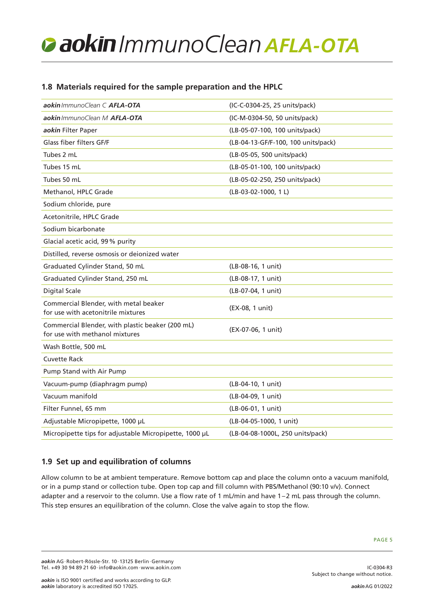# **1.8 Materials required for the sample preparation and the HPLC**

| aokin ImmunoClean C AFLA-OTA                                                       | (IC-C-0304-25, 25 units/pack)       |
|------------------------------------------------------------------------------------|-------------------------------------|
| aokin ImmunoClean M AFLA-OTA                                                       | (IC-M-0304-50, 50 units/pack)       |
| aokin Filter Paper                                                                 | (LB-05-07-100, 100 units/pack)      |
| Glass fiber filters GF/F                                                           | (LB-04-13-GF/F-100, 100 units/pack) |
| Tubes 2 mL                                                                         | (LB-05-05, 500 units/pack)          |
| Tubes 15 mL                                                                        | (LB-05-01-100, 100 units/pack)      |
| Tubes 50 mL                                                                        | (LB-05-02-250, 250 units/pack)      |
| Methanol, HPLC Grade                                                               | $(LB-03-02-1000, 1 L)$              |
| Sodium chloride, pure                                                              |                                     |
| Acetonitrile, HPLC Grade                                                           |                                     |
| Sodium bicarbonate                                                                 |                                     |
| Glacial acetic acid, 99% purity                                                    |                                     |
| Distilled, reverse osmosis or deionized water                                      |                                     |
| Graduated Cylinder Stand, 50 mL                                                    | (LB-08-16, 1 unit)                  |
| Graduated Cylinder Stand, 250 mL                                                   | (LB-08-17, 1 unit)                  |
| Digital Scale                                                                      | (LB-07-04, 1 unit)                  |
| Commercial Blender, with metal beaker<br>for use with acetonitrile mixtures        | (EX-08, 1 unit)                     |
| Commercial Blender, with plastic beaker (200 mL)<br>for use with methanol mixtures | (EX-07-06, 1 unit)                  |
| Wash Bottle, 500 mL                                                                |                                     |
| <b>Cuvette Rack</b>                                                                |                                     |
| Pump Stand with Air Pump                                                           |                                     |
| Vacuum-pump (diaphragm pump)                                                       | (LB-04-10, 1 unit)                  |
| Vacuum manifold                                                                    | (LB-04-09, 1 unit)                  |
| Filter Funnel, 65 mm                                                               | (LB-06-01, 1 unit)                  |
| Adjustable Micropipette, 1000 µL                                                   | (LB-04-05-1000, 1 unit)             |
| Micropipette tips for adjustable Micropipette, 1000 µL                             | (LB-04-08-1000L, 250 units/pack)    |

# **1.9 Set up and equilibration of columns**

Allow column to be at ambient temperature. Remove bottom cap and place the column onto a vacuum manifold, or in a pump stand or collection tube. Open top cap and fill column with PBS/Methanol (90:10 v/v). Connect adapter and a reservoir to the column. Use a flow rate of 1 mL/min and have 1–2 mL pass through the column. This step ensures an equilibration of the column. Close the valve again to stop the flow.

IC-0304-R3

*aokin* AG·Robert-Rössle-Str. 10·13125 Berlin·Germany Tel. +49 30 94 89 21 60·info@aokin.com·www.aokin.com

Subject to change without notice.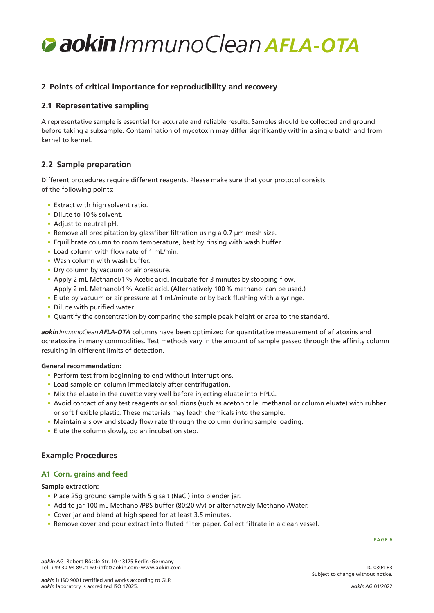# **2 Points of critical importance for reproducibility and recovery**

## **2.1 Representative sampling**

A representative sample is essential for accurate and reliable results. Samples should be collected and ground before taking a subsample. Contamination of mycotoxin may differ significantly within a single batch and from kernel to kernel.

### **2.2 Sample preparation**

Different procedures require different reagents. Please make sure that your protocol consists of the following points:

- Extract with high solvent ratio.
- Dilute to 10% solvent.
- Adjust to neutral pH.
- Remove all precipitation by glassfiber filtration using a 0.7 µm mesh size.
- Equilibrate column to room temperature, best by rinsing with wash buffer.
- Load column with flow rate of 1 mL/min.
- Wash column with wash buffer.
- Dry column by vacuum or air pressure.
- Apply 2 mL Methanol/1% Acetic acid. Incubate for 3 minutes by stopping flow. Apply 2 mL Methanol/1% Acetic acid. (Alternatively 100% methanol can be used.)
- Elute by vacuum or air pressure at 1 mL/minute or by back flushing with a syringe.
- Dilute with purified water.
- Quantify the concentration by comparing the sample peak height or area to the standard.

*aokinImmunoCleanAFLA*-*OTA* columns have been optimized for quantitative measurement of aflatoxins and ochratoxins in many commodities. Test methods vary in the amount of sample passed through the affinity column resulting in different limits of detection.

#### **General recommendation:**

- Perform test from beginning to end without interruptions.
- Load sample on column immediately after centrifugation.
- Mix the eluate in the cuvette very well before injecting eluate into HPLC.
- Avoid contact of any test reagents or solutions (such as acetonitrile, methanol or column eluate) with rubber or soft flexible plastic. These materials may leach chemicals into the sample.
- Maintain a slow and steady flow rate through the column during sample loading.
- Elute the column slowly, do an incubation step.

## **Example Procedures**

### **A1 Corn, grains and feed**

#### **Sample extraction:**

- Place 25g ground sample with 5 g salt (NaCl) into blender jar.
- Add to jar 100 mL Methanol/PBS buffer (80:20 v/v) or alternatively Methanol/Water.
- Cover jar and blend at high speed for at least 3.5 minutes.
- Remove cover and pour extract into fluted filter paper. Collect filtrate in a clean vessel.

PAGE 6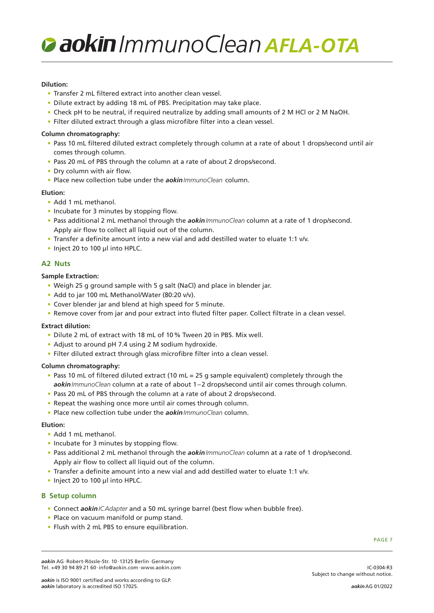#### **Dilution:**

- Transfer 2 mL filtered extract into another clean vessel.
- Dilute extract by adding 18 mL of PBS. Precipitation may take place.
- Check pH to be neutral, if required neutralize by adding small amounts of 2 M HCl or 2 M NaOH.
- Filter diluted extract through a glass microfibre filter into a clean vessel.

#### **Column chromatography:**

- Pass 10 mL filtered diluted extract completely through column at a rate of about 1 drops/second until air comes through column.
- Pass 20 mL of PBS through the column at a rate of about 2 drops/second.
- Dry column with air flow.
- Place new collection tube under the *aokinImmunoClean* column.

#### **Elution:**

- Add 1 mL methanol.
- Incubate for 3 minutes by stopping flow.
- Pass additional 2 mL methanol through the *aokinImmunoClean* column at a rate of 1 drop/second. Apply air flow to collect all liquid out of the column.
- Transfer a definite amount into a new vial and add destilled water to eluate 1:1 v/v.
- Inject 20 to 100 µl into HPLC.

### **A2 Nuts**

#### **Sample Extraction:**

- Weigh 25 g ground sample with 5 g salt (NaCl) and place in blender jar.
- Add to jar 100 mL Methanol/Water (80:20 v/v).
- Cover blender jar and blend at high speed for 5 minute.
- Remove cover from jar and pour extract into fluted filter paper. Collect filtrate in a clean vessel.

#### **Extract dilution:**

- Dilute 2 mL of extract with 18 mL of 10% Tween 20 in PBS. Mix well.
- Adjust to around pH 7.4 using 2 M sodium hydroxide.
- Filter diluted extract through glass microfibre filter into a clean vessel.

#### **Column chromatography:**

- Pass 10 mL of filtered diluted extract (10 mL = 25 g sample equivalent) completely through the *aokinImmunoClean* column at a rate of about 1–2 drops/second until air comes through column.
- Pass 20 mL of PBS through the column at a rate of about 2 drops/second.
- Repeat the washing once more until air comes through column.
- Place new collection tube under the *aokinImmunoClean* column.

#### **Elution:**

- Add 1 mL methanol.
- Incubate for 3 minutes by stopping flow.
- Pass additional 2 mL methanol through the *aokinImmunoClean* column at a rate of 1 drop/second. Apply air flow to collect all liquid out of the column.
- Transfer a definite amount into a new vial and add destilled water to eluate 1:1 v/v.
- Inject 20 to 100 µl into HPLC.

### **B Setup column**

- Connect *aokinICAdapter* and a 50 mL syringe barrel (best flow when bubble free).
- Place on vacuum manifold or pump stand.
- Flush with 2 mL PBS to ensure equilibration.

PAGE 7

IC-0304-R3

*aokin* AG·Robert-Rössle-Str. 10·13125 Berlin·Germany Tel. +49 30 94 89 21 60·info@aokin.com·www.aokin.com

Subject to change without notice.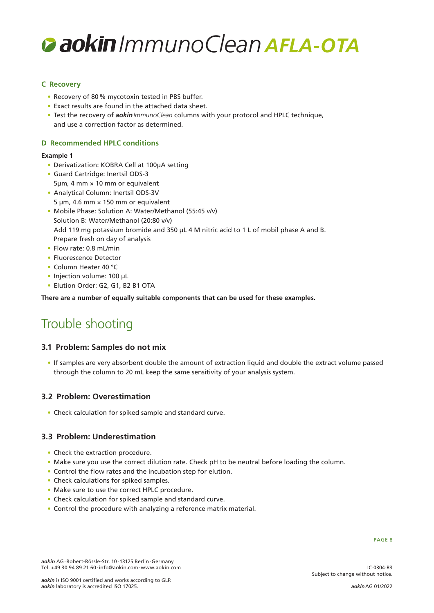### **C Recovery**

- Recovery of 80% mycotoxin tested in PBS buffer.
- Exact results are found in the attached data sheet.
- Test the recovery of *aokinImmunoClean* columns with your protocol and HPLC technique, and use a correction factor as determined.

#### **D Recommended HPLC conditions**

#### **Example 1**

- Derivatization: KOBRA Cell at 100µA setting
- Guard Cartridge: Inertsil ODS-3  $5 \mu m$ , 4 mm  $\times$  10 mm or equivalent
- Analytical Column: Inertsil ODS-3V 5  $\mu$ m, 4.6 mm  $\times$  150 mm or equivalent
- Mobile Phase: Solution A: Water/Methanol (55:45 v/v) Solution B: Water/Methanol (20:80 v/v) Add 119 mg potassium bromide and 350 µL 4 M nitric acid to 1 L of mobil phase A and B. Prepare fresh on day of analysis
- Flow rate: 0.8 mL/min
- Fluorescence Detector
- Column Heater 40 °C
- Injection volume: 100 uL
- Elution Order: G2, G1, B2 B1 OTA

**There are a number of equally suitable components that can be used for these examples.**

# Trouble shooting

### **3.1 Problem: Samples do not mix**

• If samples are very absorbent double the amount of extraction liquid and double the extract volume passed through the column to 20 mL keep the same sensitivity of your analysis system.

### **3.2 Problem: Overestimation**

• Check calculation for spiked sample and standard curve.

# **3.3 Problem: Underestimation**

- Check the extraction procedure.
- Make sure you use the correct dilution rate. Check pH to be neutral before loading the column.
- Control the flow rates and the incubation step for elution.
- Check calculations for spiked samples.
- Make sure to use the correct HPLC procedure.
- Check calculation for spiked sample and standard curve.
- Control the procedure with analyzing a reference matrix material.

IC-0304-R3

Subject to change without notice.